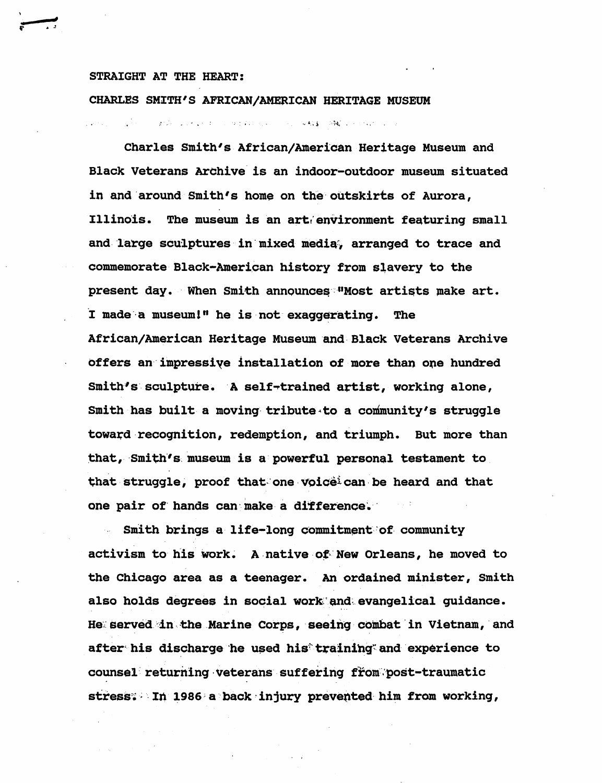## STRAIGHT AT THE HEART:

CHARLES SMITH'S AFRICAN/AMERICAN HERITAGE MUSEUM

. . . . . f . i : . H ' . • • • • • .

Charles Smith's African/American Heritage Museum and Black Veterans Archive is an indoor-outdoor museum situated in and around Smith's home on the outskirts of Aurora, Illinois. The museum is an art environment featuring small and large sculptures in mixed media, arranged to trace and commemorate Black-American history from slavery to the present day. When Smith announces "Most artists make art. I made a museum!" he is not exaggerating. The African/American Heritage Museum and Black Veterans Archive offers an impressiye installation of more than ope hundred Smith's sculpture. A self-trained artist, working alone, Smith has built a moving tribute to a community's struggle toward recognition, redemption, and triumph. But more than that, Smith's museum is a powerful personal testament to that struggle, proof that one voice  $c$  can be heard and that one pair of hands can make a difference.

Smith brings a life-long commitment of community activism to his work. A native of New Orleans, he moved to the Chicago area as a teenager. An ordained minister, Smith also holds degrees in social work and evangelical guidance. He served in the Marine Corps, seeing combat in Vietnam, and after'his discharge he used his'training'and experience to counsel returning veterans suffering from post-traumatic stress: In 1986 a back in jury prevented him from working,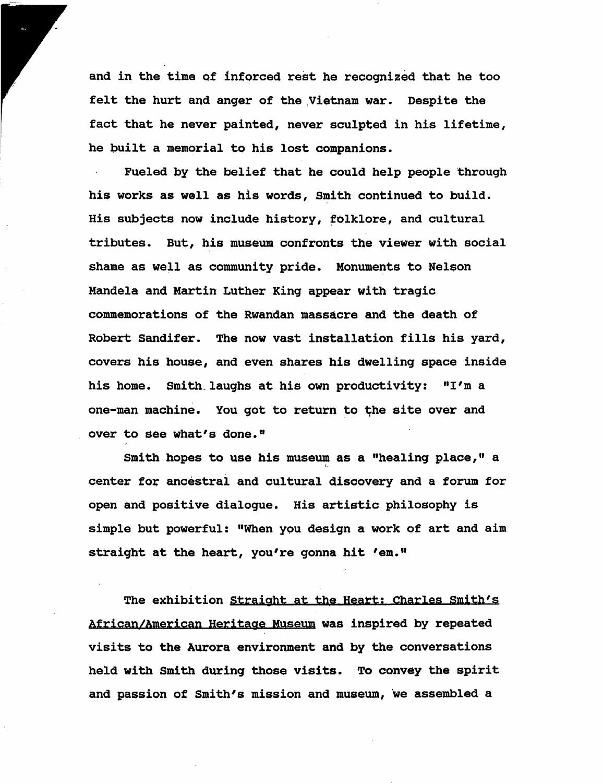and in the time of inforced rest he recognized that he too felt the hurt and anger of the Vietnam war. Despite the fact that he never painted, never sculpted in his lifetime, he built a memorial to his lost companions.

Fueled by the belief that he could help people through his works as well as his words. Smith continued to build. His subjects now include history, folklore, and cultural tributes. But, his museum confronts the viewer with social shame as well as community pride. Monuments to Nelson Mandela and Martin Luther King appear with tragic commemorations of the Rwandan massacre and the death of Robert Sandifer. The now vast installation fills his yard, covers his house, and even shares his dwelling space inside his home. Smith laughs at his own productivity: "I'm a one-man machine. You got to return to the site over and over to see what's done."

Smith hopes to use his museum as a "healing place," a center for ancestral and cultural discovery and a forum for open and positive dialogue. His artistic philosophy is simple but powerful: "When you design a work of art and aim straight at the heart, you're gonna hit 'em."

The exhibition Straight at the Heart: Charles Smith's African/American Heritage Museum was inspired by repeated visits to the Aurora environment and by the conversations held with Smith during those visits. To convey the spirit and passion of Smith's mission and museum. We assembled a